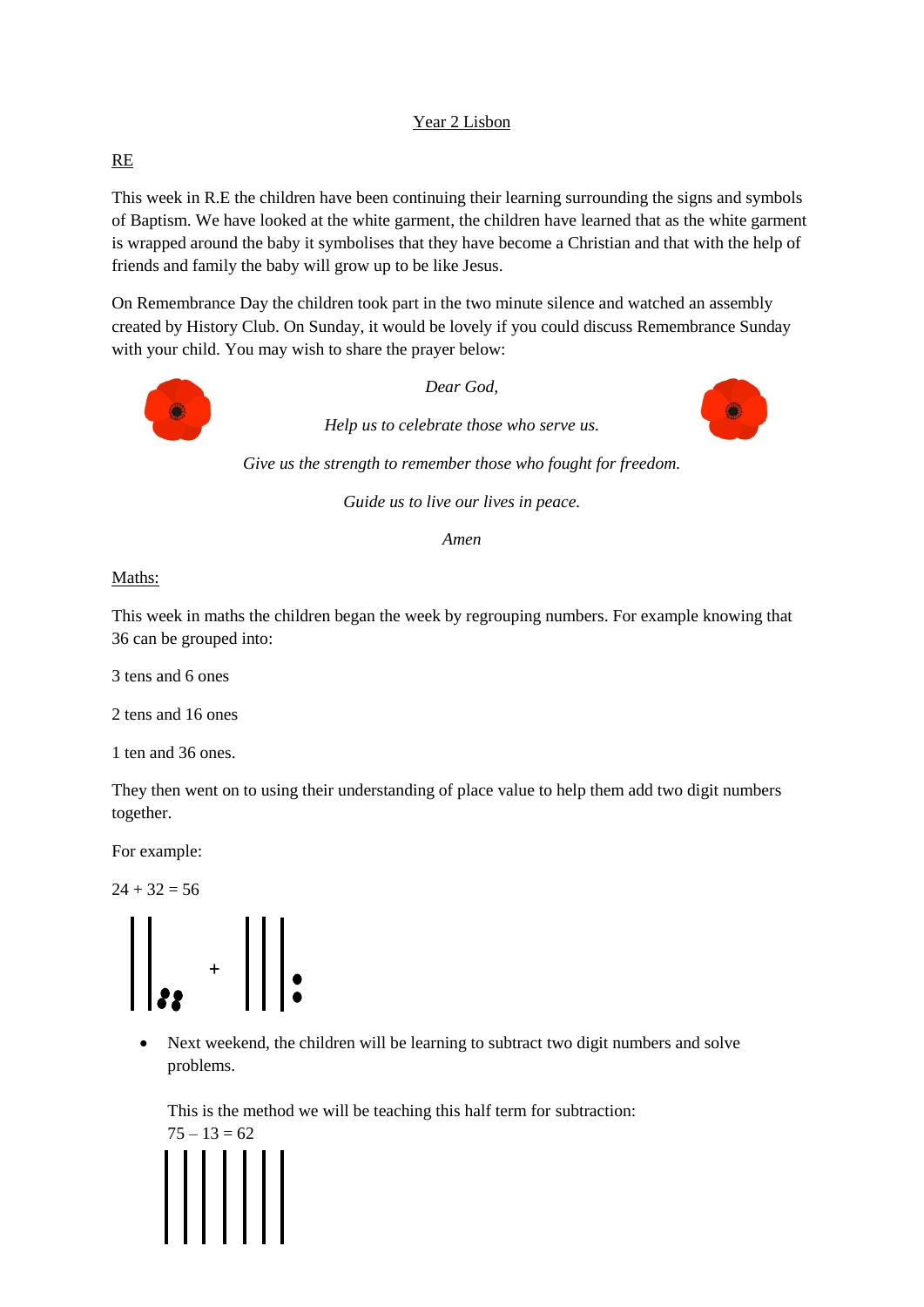# Year 2 Lisbon

## RE

This week in R.E the children have been continuing their learning surrounding the signs and symbols of Baptism. We have looked at the white garment, the children have learned that as the white garment is wrapped around the baby it symbolises that they have become a Christian and that with the help of friends and family the baby will grow up to be like Jesus.

On Remembrance Day the children took part in the two minute silence and watched an assembly created by History Club. On Sunday, it would be lovely if you could discuss Remembrance Sunday with your child. You may wish to share the prayer below:



*Guide us to live our lives in peace.*

( )

*Amen*

#### Maths:

This week in maths the children began the week by regrouping numbers. For example knowing that 36 can be grouped into:

3 tens and 6 ones

2 tens and 16 ones

1 ten and 36 ones.

They then went on to using their understanding of place value to help them add two digit numbers together.

For example:

 $24 + 32 = 56$ 



• Next weekend, the children will be learning to subtract two digit numbers and solve problems.

This is the method we will be teaching this half term for subtraction:

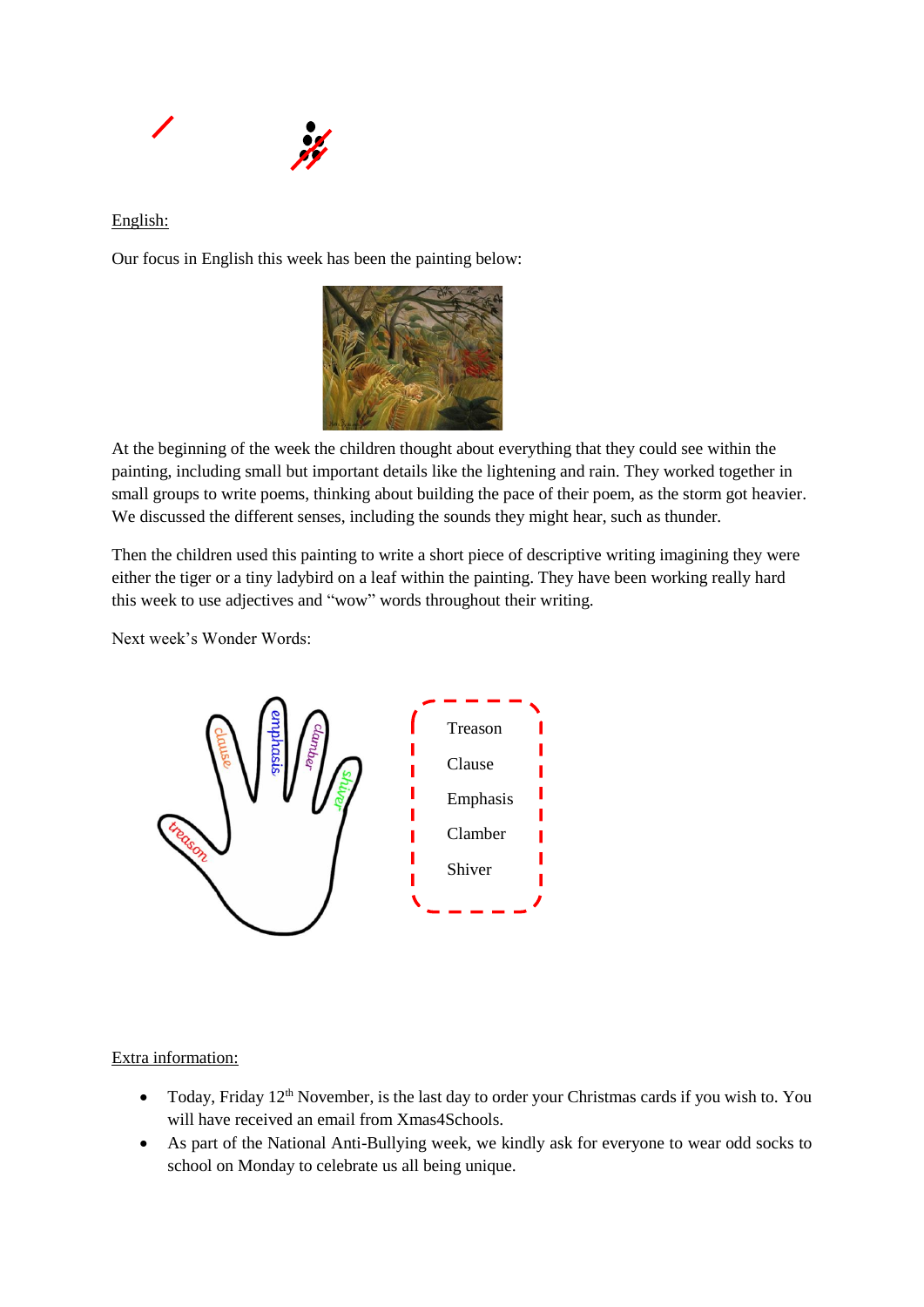

### English:

Our focus in English this week has been the painting below:



At the beginning of the week the children thought about everything that they could see within the painting, including small but important details like the lightening and rain. They worked together in small groups to write poems, thinking about building the pace of their poem, as the storm got heavier. We discussed the different senses, including the sounds they might hear, such as thunder.

Then the children used this painting to write a short piece of descriptive writing imagining they were either the tiger or a tiny ladybird on a leaf within the painting. They have been working really hard this week to use adjectives and "wow" words throughout their writing.

Next week's Wonder Words:



Extra information:

- Today, Friday  $12<sup>th</sup>$  November, is the last day to order your Christmas cards if you wish to. You will have received an email from Xmas4Schools.
- As part of the National Anti-Bullying week, we kindly ask for everyone to wear odd socks to school on Monday to celebrate us all being unique.